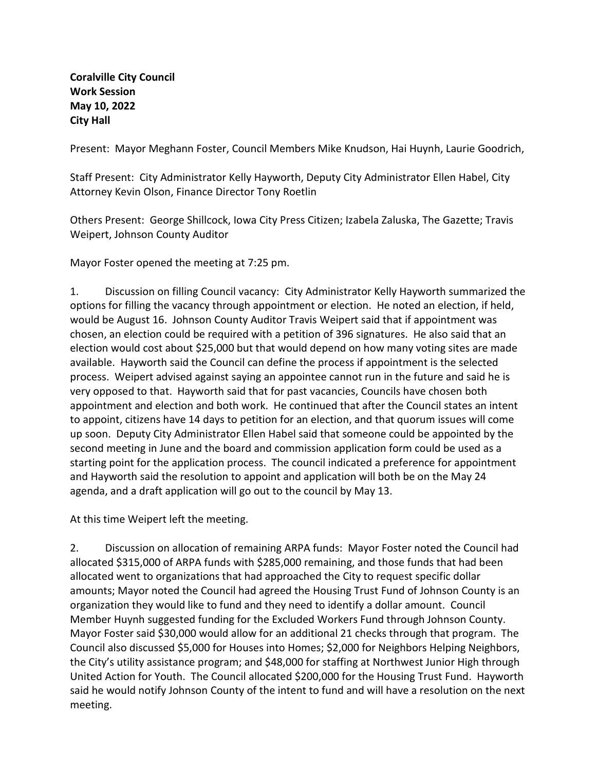**Coralville City Council Work Session May 10, 2022 City Hall**

Present: Mayor Meghann Foster, Council Members Mike Knudson, Hai Huynh, Laurie Goodrich,

Staff Present: City Administrator Kelly Hayworth, Deputy City Administrator Ellen Habel, City Attorney Kevin Olson, Finance Director Tony Roetlin

Others Present: George Shillcock, Iowa City Press Citizen; Izabela Zaluska, The Gazette; Travis Weipert, Johnson County Auditor

Mayor Foster opened the meeting at 7:25 pm.

1. Discussion on filling Council vacancy: City Administrator Kelly Hayworth summarized the options for filling the vacancy through appointment or election. He noted an election, if held, would be August 16. Johnson County Auditor Travis Weipert said that if appointment was chosen, an election could be required with a petition of 396 signatures. He also said that an election would cost about \$25,000 but that would depend on how many voting sites are made available. Hayworth said the Council can define the process if appointment is the selected process. Weipert advised against saying an appointee cannot run in the future and said he is very opposed to that. Hayworth said that for past vacancies, Councils have chosen both appointment and election and both work. He continued that after the Council states an intent to appoint, citizens have 14 days to petition for an election, and that quorum issues will come up soon. Deputy City Administrator Ellen Habel said that someone could be appointed by the second meeting in June and the board and commission application form could be used as a starting point for the application process. The council indicated a preference for appointment and Hayworth said the resolution to appoint and application will both be on the May 24 agenda, and a draft application will go out to the council by May 13.

At this time Weipert left the meeting.

2. Discussion on allocation of remaining ARPA funds: Mayor Foster noted the Council had allocated \$315,000 of ARPA funds with \$285,000 remaining, and those funds that had been allocated went to organizations that had approached the City to request specific dollar amounts; Mayor noted the Council had agreed the Housing Trust Fund of Johnson County is an organization they would like to fund and they need to identify a dollar amount. Council Member Huynh suggested funding for the Excluded Workers Fund through Johnson County. Mayor Foster said \$30,000 would allow for an additional 21 checks through that program. The Council also discussed \$5,000 for Houses into Homes; \$2,000 for Neighbors Helping Neighbors, the City's utility assistance program; and \$48,000 for staffing at Northwest Junior High through United Action for Youth. The Council allocated \$200,000 for the Housing Trust Fund. Hayworth said he would notify Johnson County of the intent to fund and will have a resolution on the next meeting.